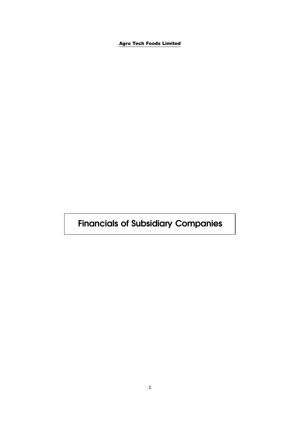**Financials of Subsidiary Companies**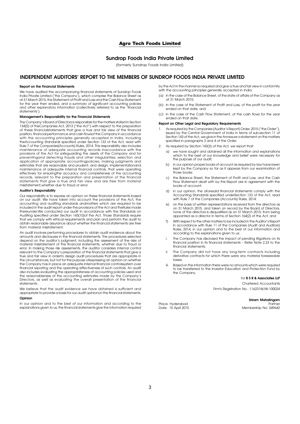### **Sundrop Foods India Private Limited**

(formerly Sundrop Foods India Limited)

# **INDEPENDENT AUDITORS' REPORT TO THE MEMBERS OF SUNDROP FOODS INDIA PRIVATE LIMITED**

#### **Report on the Financial Statements**

We have audited the accompanying financial statements of Sundrop Foods India Private Limited ('the Company'), which comprise the Balance Sheet as at 31 March 2015, the Statement of Profit and Loss and the Cash Flow Statement for the year then ended, and a summary of significant accounting policies and other explanatory information (collectively referred to as the 'financial statements').

#### **Management's Responsibility for the Financial Statements**

The Company's Board of Directors is responsible for the matters stated in Section 134(5) of theCompanies Act, 2013 ("the Act") with respect to the preparation of these financialstatements that give a true and fair view of the financial position, financial performance and cash flowsof the Company in accordance with the accounting principles generally accepted in India, including theAccounting Standards specified under Section 133 of the Act, read with Rule 7 of the Companies(Accounts) Rules, 2014. This responsibility also includes maintenance of adequate accounting records inaccordance with the provisions of the Act for safeguarding the assets of the Company and for preventingand detecting frauds and other irregularities; selection and application of appropriate accountingpolicies; making judgments and estimates that are reasonable and prudent; and design, implementationand maintenance of adequate internal financial controls, that were operating effectively for ensuringthe accuracy and completeness of the accounting records, relevant to the preparation and presentation of the financial statements that give a true and fair view and are free from material misstatement,whether due to fraud or error.

#### **Auditor's Responsibility**

Our responsibility is to express an opinion on these financial statements based on our audit. We have taken into account the provisions of the Act, the accounting and auditing standards andmatters which are required to be included in the audit report under the provisions of the Act and theRules made thereunder.We conducted our audit in accordance with the Standards on Auditing specified under Section 143(10)of the Act. Those Standards require that we comply with ethical requirements and plan and perform the audit to obtain reasonable assurance about whether the financial statements are free from material misstatement.

An audit involves performing procedures to obtain audit evidence about the amounts and disclosures in the financial statements. The procedures selected depend on the auditor's judgment, including the assessment of the risks of material misstatement of the financial statements, whether due to fraud or error. In making those risk assessments, the auditor considers internal control relevant to the Company's preparation of the financial statements that give a true and fair view in orderto design audit procedures that are appropriate in the circumstances, but not for the purpose ofexpressing an opinion on whether the Company has in place an adequate internal financial controlssystem over financial reporting and the operating effectiveness of such controls. An audit also includes evaluating the appropriateness of accounting policies used and the reasonableness of the accounting estimates made by the Company's Directors, as well as evaluating the overall presentation of the financial statements.

We believe that the audit evidence we have obtained is sufficient and appropriate to provide a basis for our audit opinionon the financial statements. **Opinion**

In our opinion and to the best of our information and according to the explanations given to us, the financial statements give the information required by the Act in the manner so required and give a true and fair view in conformity with the accounting principles generally accepted in India:

- (a) in the case of the Balance Sheet, of the state of affairs of the Company as at 31 March 2015;
- (b) in the case of the Statement of Profit and Loss, of the profit for the year ended on that date; and
- (c) in the case of the Cash Flow Statement, of the cash flows for the year ended on that date.

#### **Report on Other Legal and Regulatory Requirements**

- As required by the Companies (Auditor's Report) Order, 2015 ("the Order"), issued by the Central Government of India in terms of sub-section 11 of Section 143 of the Act, we give in the Annexure a statement on the matters specified in paragraphs 3 and 4 of the Order.
- 2. As required by Section 143(3) of the Act, we report that:
	- a) we have sought and obtained all the information and explanations which to the best of our knowledge and belief were necessary for the purpose of our audit;
	- b) in our opinion proper books of account as required by law have been kept by the Company so far as it appears from our examination of those books
	- the Balance Sheet, the Statement of Profit and Loss, and the Cash Flow Statement dealt with by this Report are in agreement with the books of account;
	- d) in our opinion, the aforesaid financial statements comply with the Accounting Standards specified underSection 133 of the Act, read with Rule 7 of the Companies (Accounts) Rules, 2014;
	- e) on the basis of written representations received from the directors as on 31 March 2015, and taken on record by the Board of Directors, none of the directors is disqualified as on 31 March 2015, from being appointed as a director in terms of Section 164(2) of the Act; and
	- f) With respect to the other matters to be included in the Auditor's Report in accordance with Rule 11 of the Companies (Audit and Auditors) Rules, 2014, in our opinion and to the best of our information and according to the explanations given to us:
	- i. The Company has disclosed the impact of pending litigations on its financial position in its financial statements – Refer Note 2.23 to the financial statements;
	- The Company did not have any long-term contracts including derivative contracts for which there were any material foreseeable losses.
	- iii. Based on the information there were no amounts which were required to be transferred to the Investor Education and Protection Fund by the Company.

#### for **B S R & Associates LLP**

Chartered Accountants Firm's Registration No. :116231W/W-100024

**Sriram Mahalingam** Place: Hyderabad Partner Membership No: 049642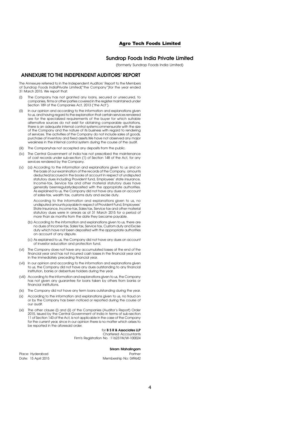### **Sundrop Foods India Private Limited**

(formerly Sundrop Foods India Limited)

# **ANNEXURE TO THE INDEPENDENT AUDITORS' REPORT**

The Annexure referred to in the Independent Auditors' Report to the Members of Sundrop Foods IndiaPrivate Limited("the Company")for the year ended 31 March 2015. We report that:

- (i) The Company has not granted any loans, secured or unsecured, to companies, firms or other parties covered in the register maintained under Section 189 of the Companies Act, 2013 ('the Act').
- (ii) In our opinion and according to the information and explanations given to us, and having regard to the explanation that certain services rendered are for the specialized requirements of the buyer for which suitable alternative sources do not exist for obtaining comparable quotations, there is an adequate internal control systemcommensurate with the size of the Company and the nature of its business with regard to rendering of services. The activities of the Company do not include sales of goods, purchase of inventory and fixed assets.We have not observed any major weakness in the internal control system during the course of the audit.
- (iii) The Companyhas not accepted any deposits from the public.
- (iv) The Central Government of India has not prescribed the maintenance of cost records under sub-section (1) of Section 148 of the Act, for any services rendered by the Company.
- (v) (a) According to the information and explanations given to us and on the basis of our examination of the records of the Company, amounts deducted/accrued in the books of account in respect of undisputed statutory dues including Provident fund, Employees' state insurance, Income-tax, Service tax and other material statutory dues have generally beenregularlydeposited with the appropriate authorities. As explained to us, the Company did not have any dues on account of sales-tax, wealth tax, customs duty and excise duty.

According to the information and explanations given to us, no undisputed amounts payable in respect of Provident Fund, Employees' State Insurance, Income-tax, Sales tax, Service tax and other material statutory dues were in arrears as at 31 March 2015 for a period of more than six months from the date they became payable.

- (b) According to the information and explanations given to us, there are no dues of Income-tax, Sales tax, Service tax, Custom duty and Excise duty which have not been deposited with the appropriate authorities on account of any dispute.
- (c) As explained to us, the Company did not have any dues on account of investor education and protection fund.
- (vi) The Company does not have any accumulated losses at the end of the financial year and has not incurred cash losses in the financial year and in the immediately preceding financial year.
- (vii) In our opinion and according to the information and explanations given to us, the Company did not have any dues outstanding to any financial institution, banks or debenture holders during the year.
- (viii) According to the information and explanations given to us, the Company has not given any guarantee for loans taken by others from banks or financial institutions.
- (ix) The Company did not have any term loans outstanding during the year.
- According to the information and explanations given to us, no fraud on or by the Company has been noticed or reported during the course of our audit.
- (xi) The other clause (i) and (ii) of the Companies (Auditor's Report) Order 2015, issued by the Central Government of India in terms of sub-section 11 of Section 143 of the Act, is not applicable in the case of the Company for the current year, since in our opinion there is no matter which arises to be reported in the aforesaid order.

#### for **B S R & Associates LLP**

Chartered Accountants Firm's Registration No. :116231W/W-100024

#### **Sriram Mahalingam**

Place: Hyderabad Partner

Date: 15 April 2015 Membership No: 049642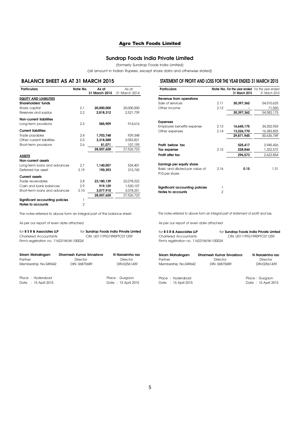# **Sundrop Foods India Private Limited**

(formerly Sundrop Foods India Limited)

(all amount in Indian Rupees, except share data and otherwise stated)

# **BALANCE SHEET AS AT 31 MARCH 2015**

| <b>Particulars</b>              | Note No.       | As at         | As at         |
|---------------------------------|----------------|---------------|---------------|
|                                 |                | 31 March 2015 | 31 March 2014 |
| <b>EQUITY AND LIABILITIES</b>   |                |               |               |
| Shareholders' funds             |                |               |               |
| Share capital                   | 2.1            | 20.000.000    | 20,000,000    |
| Reserves and surplus            | 2.2            | 2.818.312     | 2.521.739     |
| <b>Non-current liabilities</b>  |                |               |               |
| Long-term provisions            | 2.3            | 585.909       | 914.616       |
| <b>Current liabilities</b>      |                |               |               |
| Trade payables                  | 2.4            | 1,703,748     | 929,348       |
| Other current liabilities       | 2.5            | 3,318,588     | 3.053.821     |
| Short-term provisions           | 2.6            | 81,071        | 107,199       |
|                                 |                | 28,507,628    | 27,526,723    |
| <b>ASSETS</b>                   |                |               |               |
| Non-current assets              |                |               |               |
| Long-term loans and advances    | 2.7            | 1.140.057     | 534,401       |
| Deferred tax asset              | 2.19           | 190.393       | 315,742       |
| <b>Current assets</b>           |                |               |               |
| Trade receivables               | 2.8            | 23,180,139    | 22,078,222    |
| Cash and bank balances          | 2.9            | 919,129       | 1,520,107     |
| Short-term loans and advances   | 2.10           | 3,077,910     | 3,078,251     |
|                                 |                | 28,507,628    | 27,526,723    |
| Significant accounting policies | 1              |               |               |
| Notes to accounts               | $\overline{2}$ |               |               |

### **STATEMENT OF PROFIT AND LOSS FOR THE YEAR ENDED 31 MARCH 2015**

|                     | 31 March 2015 | Note No. For the year ended For the year ended<br>31 March 2014 |
|---------------------|---------------|-----------------------------------------------------------------|
|                     |               |                                                                 |
| 2.11                | 30.397.362    | 54,510,625                                                      |
| 2.12                |               | 71,550                                                          |
|                     | 30,397,362    | 54,582,175                                                      |
|                     |               |                                                                 |
| 2.13                | 16,645,175    | 34,252,924                                                      |
| 2.14                | 13,226,770    | 16,383,825                                                      |
|                     | 29,871,945    | 50,636,749                                                      |
|                     | 525.417       | 3,945,426                                                       |
| 2.15                | 228.844       | 1,322,572                                                       |
|                     | 296.573       | 2,622,854                                                       |
|                     |               |                                                                 |
| 2.16                | 0.15          | 1.31                                                            |
| 1<br>$\mathfrak{p}$ |               |                                                                 |
|                     |               |                                                                 |

The notes referred to above form an integral part of statement of profit and loss.

As per our report of even date attached

| for Sundrop Foods India Private Limted   |
|------------------------------------------|
| CIN: U01119TG1990PTC011259               |
| Firm's registration no. 116231W/W-100024 |
|                                          |

| Sriram Mahalingam    | Dharmesh Kumar Srivastava | N Narasimha rao     |
|----------------------|---------------------------|---------------------|
| Partner              | Director                  | <b>Director</b>     |
| Membership No.049642 | DIN: 06875689             | DIN:02561439        |
| Place: Hyderabad     |                           | Place: Gurgaon      |
| Date: 15 April 2015  |                           | Date: 15 April 2015 |

|  |  |  |  |  | The notes referred to above form an integral part of the balance sheet. |  |
|--|--|--|--|--|-------------------------------------------------------------------------|--|
|  |  |  |  |  |                                                                         |  |

As per our report of even date attached

| for <b>B S R &amp; Associates LLP</b>    | for <b>Sundrop Foods India Private Limted</b> |
|------------------------------------------|-----------------------------------------------|
| <b>Chartered Accountants</b>             | CIN: U01119TG1990PTC011259                    |
| Firm's registration no. 116231W/W-100024 |                                               |

| Sriram Mahalingam    | Dharmesh Kumar Srivastava | N Narasimha rao |
|----------------------|---------------------------|-----------------|
| Partner              | Director                  | Director        |
| Membership No.049642 | DIN: 06875689             | DIN:02561439    |
| Place: Hyderabad     |                           | Place: Gurgaon  |

Date : 15 April 2015 **Date : 15 April 2016** Date : 15 April 2015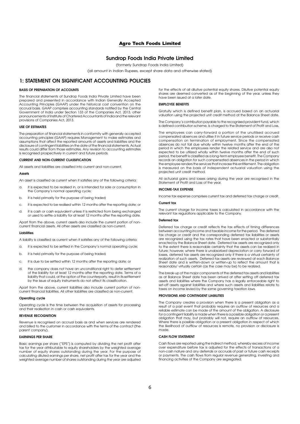### **Sundrop Foods India Private Limited**

(formerly Sundrop Foods India Limited)

(all amount in Indian Rupees, except share data and otherwise stated)

# **1: STATEMENT ON SIGNIFICANT ACCOUNTING POLICIES**

#### **BASIS OF PREPARATION OF ACCOUNTS**

The financial statements of Sundrop Foods India Private Limited have been prepared and presented in accordance with Indian Generally Accepted Accounting Principles (GAAP) under the historical cost convention on the accrual basis. GAAP comprises accounting standards notified by the Central Government of India under Section 133 of the Companies Act, 2013, other pronouncements of Institute of Chartered Accountants of India and the relevant provisions of Companies Act, 2013.

#### **USE OF ESTIMATES**

The preparation of financial statements in conformity with generally accepted accounting principles (GAAP) requires Management to make estimates and assumptions that affect the reported amounts of assets and liabilities and the disclosure of contingent liabilities on the date of the financial statements. Actual results could differ from those estimates. Any revision to accounting estimates is recognised prospectively in current and future periods.

#### **CURRENT AND NON-CURRENT CLASSIFICATION**

All assets and liabilities are classified into current and non-current.

#### **Assets**

An asset is classified as current when it satisfies any of the following criteria:

- a. it is expected to be realised in, or is intended for sale or consumption in the Company's normal operating cycle;
- b. it is held primarily for the purpose of being traded;
- c. it is expected to be realised within 12 months after the reporting date; or
- d. it is cash or cash equivalent unless it is restricted from being exchanged or used to settle a liability for at least 12 months after the reporting date.

Apart from the above, current assets also include the current portion of noncurrent financial assets. All other assets are classified as non-current.

#### **Liabilities**

A liability is classified as current when it satisfies any of the following criteria:

- a. it is expected to be settled in the Company's normal operating cycle;
- b. it is held primarily for the purpose of being traded;
- c. it is due to be settled within 12 months after the reporting date; or
- d. the company does not have an unconditional right to defer settlement of the liability for at least 12 months after the reporting date. Terms of a liability that could, at the option of the counterparty, result in its settlement by the issue of equity instruments do not affect its classification.

Apart from the above, current liabilities also include current portion of noncurrent financial liabilities. All other liabilities are classified as non-current.

#### **Operating cycle**

Operating cycle is the time between the acquisition of assets for processing and their realisation in cash or cash equivalents.

#### **REVENUE RECOGNITION**

Revenue is recognised on accrual basis as and when services are rendered and billed to the customer in accordance with the terms of the contract (the parent company).

#### **EARNINGS PER SHARE**

Basic earnings per share ("EPS") is computed by dividing the net profit after tax for the year attributable to equity shareholders by the weighted average number of equity shares outstanding during the year. For the purpose of calculating diluted earnings per share, net profit after tax for the year and the weighted average number of shares outstanding during the year are adjusted

for the effects of all dilutive potential equity shares. Dilutive potential equity shares are deemed converted as of the beginning of the year, unless they have been issued at a later date.

#### **EMPLOYEE BENEFITS**

Gratuity which is defined benefit plan, is accrued based on an actuarial valuation using the projected unit credit method at the Balance Sheet date.

The Company's contribution payable to the recognised provident fund, which is defined contribution scheme, is charged to the Statement of Profit and Loss.

The employees can carry-forward a portion of the unutilised accrued compensated absences and utilise it in future service periods or receive cash compensation on termination of employment. Since the compensated absences do not fall due wholly within twelve months after the end of the period in which the employees render the related service and are also not expected to be utilized wholly within twelve months after the end of such period, the benefit is classified as a long-term employee benefit. The Company records an obligation for such compensated absences in the period in which the employee renders the services that increase this entitlement. The obligation is measured on the basis of independent actuarial valuation using the projected unit credit method.

All actuarial gains and losses arising during the year are recognised in the Statement of Profit and Loss of the year.

#### **INCOME-TAX EXPENSE**

Income tax expense comprises current tax and deferred tax charge or credit.

#### **Current tax**

The current charge for income taxes is calculated in accordance with the relevant tax regulations applicable to the Company.

#### **Deferred tax**

Deferred tax charge or credit reflects the tax effects of timing differences between accounting income and taxable income for the period. The deferred tax charge or credit and the corresponding deferred tax liabilities or assets are recognized using the tax rates that have been enacted or substantially enacted by the Balance Sheet date. Deferred tax assets are recognized only to the extent there is reasonable certainty that the assets can be realized in future; however, where there is unabsorbed depreciation or carry forward of losses, deferred tax assets are recognized only if there is a virtual certainty of realization of such assets. Deferred tax assets are reviewed at each Balance Sheet date and is written-down or written-up to reflect the amount that is reasonably/ virtually certain (as the case may be) to be realized.

The break-up of the major components of the deferred tax assets and liabilities as at Balance Sheet date has been arrived at after setting off deferred tax assets and liabilities where the Company has a legally enforceable right to set-off assets against liabilities and where such assets and liabilities relate to taxes on income levied by the same governing taxation laws.

#### **PROVISIONS AND CONTINGENT LIABILITIES**

The Company creates a provision when there is a present obligation as a result of a past event that probably requires an outflow of resources and a reliable estimate can be made of the amount of the obligation. A disclosure for a contingent liability is made when there is a possible obligation or a present obligation that may, but probably will not, require an outflow of resources. Where there is possible obligation or a present obligation in respect of which the likelihood of outflow of resources is remote, no provision or disclosure is made.

#### **CASH FLOW STATEMENT**

Cash flows are reported using the indirect method, whereby excess of income over expenditure before tax is adjusted for the effects of transactions of a non-cash nature and any deferrals or accruals of past or future cash receipts or payments. The cash flows from regular revenue generating, investing and financing activities of the Company are segregated.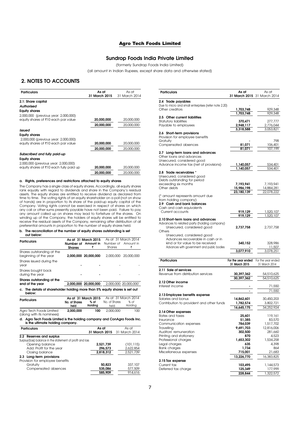# **Sundrop Foods India Private Limited**

(formerly Sundrop Foods India Limited)

(all amount in Indian Rupees, except share data and otherwise stated)

# **2. NOTES TO ACCOUNTS**

| <b>Particulars</b>                      | As at         | As at         |
|-----------------------------------------|---------------|---------------|
|                                         | 31 March 2015 | 31 March 2014 |
| 2.1: Share capital                      |               |               |
| Authorised                              |               |               |
| <b>Equity shares</b>                    |               |               |
| 2,000,000 (previous year: 2,000,000)    |               |               |
| equity shares of ₹10 each par value     | 20,000,000    | 20,000,000    |
|                                         | 20,000,000    | 20,000,000    |
| Issued                                  |               |               |
| <b>Equity shares</b>                    |               |               |
| 2,000,000 (previous year: 2,000,000)    |               |               |
| equity shares of ₹10 each par value     | 20.000.000    | 20,000,000    |
|                                         | 20,000,000    | 20,000,000    |
| Subscribed and fully paid-up            |               |               |
| <b>Equity shares</b>                    |               |               |
| 2,000,000 (previous year: 2,000,000)    |               |               |
| equity shares of ₹10 each fully paid up | 20,000,000    | 20,000,000    |
|                                         | 20.000.000    | 20,000,000    |

#### **a. Rights, preferences and restrictions attached to equity shares**

The Company has a single class of equity shares. Accordingly, all equity shares rank equally with regard to dividends and share in the Company's residual assets. The equity shares are entitled to receive dividend as declared from time to time. The voting rights of an equity shareholder on a poll (not on show of hands) are in proportion to its share of the paid-up equity capital of the Company. Voting rights cannot be exercised in respect of shares on which any call or other sums presently payable have not been paid. Failure to pay any amount called up on shares may lead to forfeiture of the shares. On winding up of the Company, the holders of equity shares will be entitled to receive the residual assets of the Company, remaining after distribution of all preferential amounts in proportion to the number of equity shares held.

### **b. The reconciliation of the number of equity shares outstanding is set**

| out below:                                                                                                     |                       |                      |                       |                      |
|----------------------------------------------------------------------------------------------------------------|-----------------------|----------------------|-----------------------|----------------------|
| <b>Particulars</b>                                                                                             |                       | As at 31 March 2015  |                       | As at 31 March 2014  |
|                                                                                                                |                       | Number of Amount in  | Number of             | Amount in            |
|                                                                                                                | <b>Shares</b>         | ₹                    | Shares                | ₹                    |
| Shares outstanding at the<br>beginning of the year                                                             |                       | 2,000,000 20,000,000 | 2,000,000             | 20,000,000           |
| Shares issued during the<br>year                                                                               |                       |                      |                       |                      |
| Shares bought back<br>during the year                                                                          |                       |                      |                       |                      |
| Shares outstanding at the                                                                                      |                       |                      |                       |                      |
| end of the year                                                                                                |                       | 2,000,000 20,000,000 |                       | 2,000,000 20,000,000 |
| The details of shareholder holding more than 5% equity shares is set out<br>c.<br>below:<br><b>Particulars</b> |                       | As at 31 March 2015  |                       | As at 31 March 2014  |
|                                                                                                                | No. of Shares<br>held | $%$ of<br>Holding    | No. of Shares<br>held | % of<br>Holding      |
| Agro Tech Foods Limited<br>(along with its nominees)                                                           | 2,000,000             | 100                  | 2,000,000             | 100                  |
| d. Agro Tech Foods Limited is the holding company and ConAgra Foods Inc.<br>is the ultimate holding company.   |                       |                      |                       |                      |
| <b>Particulars</b>                                                                                             |                       | As at                |                       | As at                |
|                                                                                                                |                       | 31 March 2015        |                       | 31 March 2014        |
| 2.2 Reserves and surplus<br>Surplus/(loss) balance in the statement of profit and loss                         |                       |                      |                       |                      |
| Opening balance                                                                                                |                       |                      | 2,521,739             | (101, 115)           |
| Add: Profit for the year                                                                                       |                       |                      | 296,573               | 2,622,854            |
| Closing balance                                                                                                |                       |                      | 2,818,312             | 2,521,739            |
| Long-term provisions<br>2.3                                                                                    |                       |                      |                       |                      |
| Provision for employee benefits                                                                                |                       |                      |                       |                      |
| Gratuity                                                                                                       |                       |                      | 50.823                | 337,107              |

Compensated absences<br>
535,086<br>
585.909

| Particulars                                                  | As at              | As at                       |
|--------------------------------------------------------------|--------------------|-----------------------------|
|                                                              |                    | 31 March 2015 31 March 2014 |
| 2.4 Trade payables                                           |                    |                             |
| Due to micro and small enterprises (refer note 2.20)         |                    |                             |
| Other creditors                                              | 1,703,748          | 929,348                     |
|                                                              | 1,703,748          | 929,348                     |
| 2.5 Other current liabilities                                |                    |                             |
| <b>Statutory liabilities</b>                                 | 370,471            | 277,777                     |
| Payable to employees                                         | 2,948,117          | 2,776,044                   |
|                                                              | 3,318,588          | 3,053,821                   |
| 2.6 Short-term provisions                                    |                    |                             |
| Provision for employee benefits                              |                    |                             |
| Gratuity                                                     |                    | 798                         |
| Compensated absences                                         | 81,071             | 106,401                     |
|                                                              | 81,071             | 107,199                     |
| 2.7 Long-term loans and advances<br>Other loans and advances |                    |                             |
| Unsecured, considered good                                   |                    |                             |
| Advance income tax (net of provisions)                       | 1,140,057          | 534,401                     |
|                                                              | 1,140,057          | 534,401                     |
| 2.8 Trade receivables *                                      |                    |                             |
| Unsecured, considered good                                   |                    |                             |
| Debts outstanding for period                                 |                    |                             |
| exceeding six months                                         | 7,193,941          | 7,193,941                   |
| Other debts                                                  | 15,986,198         | 14,884,281                  |
|                                                              | 23,180,139         | 22,078,222                  |
| (* amount represents amount due                              |                    |                             |
| from holding company)                                        |                    |                             |
| 2.9 Cash and bank balances                                   |                    |                             |
| Cash and cash equivalents                                    |                    |                             |
| Current accounts                                             | 919,129            | <u>1,520,107 </u>           |
|                                                              | 919,129            | 1,520,107                   |
| 2.10 Short-term loans and advances                           |                    |                             |
| Advances to related party (holding company)                  |                    |                             |
| Unsecured, considered good                                   | 2,737,758          | 2,737,758                   |
| Others                                                       |                    |                             |
| Unsecured, considered good                                   |                    |                             |
|                                                              |                    |                             |
| Advances recoverable in cash or in                           |                    |                             |
| kind or for value to be received                             | 340,152            | 328,986                     |
| Advances with government and public bodies                   |                    | 11,507                      |
|                                                              | 3,077,910          | 3,078,251                   |
|                                                              |                    |                             |
| <b>Particulars</b>                                           | For the year ended | For the year ended          |
|                                                              | 31 March 2015      | 31 March 2014               |
| 2.11 Sale of services                                        |                    |                             |
| Revenue from distribution services                           | 30,397,362         | 54,510,625                  |
|                                                              | 30,397,362         | 54,510,625                  |
| 2.12 Other income                                            |                    |                             |
| Interest income                                              |                    | 71,550                      |
|                                                              | $\blacksquare$     | 71,550                      |
| 2.13 Employee benefits expense                               |                    |                             |
| Salaries and bonus                                           | 14,862,601         | 30,450,203                  |
| Contribution to provident and other funds                    | 1,782,574          | 3,802,721                   |
|                                                              | 16,645,175         | 34,252,924                  |
| 2.14 Other expenses                                          |                    |                             |
| Rates and taxes                                              | 25,601             | 119,161                     |
| Insurance                                                    | 51,385             | 83,570                      |
| Communication expenses                                       | 784,039            | 1,517,702                   |
| Travelling                                                   | 9,691,703          | 12,816,006                  |
| Auditors' remuneration                                       | 302,500            | 281,660                     |
| Printing and stationery                                      | 870                | 4,523                       |
| Professional charges                                         | 1,653,302          | 1,534,258                   |
| Legal charges                                                | 635                | 4,398                       |
| <b>Bank charges</b>                                          | 1,734              | 864                         |
| Miscellaneous expenses                                       | 715,001            | 21,683                      |
|                                                              | 13,226,770         | 16,383,825                  |
| 2.15 Tax expense                                             |                    |                             |
| Current tax                                                  | 103,495            | 1,144,573                   |
| Deferred tax charge                                          | 125,349            | 177,999                     |
|                                                              | 228,844            | 1,322,572                   |

 **585,909** 914,616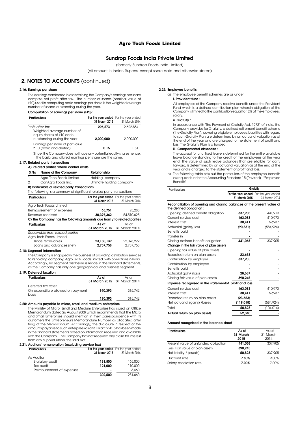### **Sundrop Foods India Private Limited**

(formerly Sundrop Foods India Limited)

(all amount in Indian Rupees, except share data and otherwise stated)

# **2. NOTES TO ACCOUNTS** (continued)

#### **2.16: Earnings per share**

The earnings considered in ascertaining the Company's earnings per share comprise net profit after tax. The number of shares (nominal value of `10) used in computing basic earnings per share is the weighted average number of shares outstanding during the year.

### **Computation of earnings per share (EPS):**

| <b>Particulars</b>                                                                                         | For the year ended For the year ended<br>31 March 2015 | 31 March 2014          |
|------------------------------------------------------------------------------------------------------------|--------------------------------------------------------|------------------------|
| Profit after tax<br>Weighted average number of<br>equity shares of ₹10 each<br>outstanding during the year | 296.573<br>2.000.000                                   | 2,622,854<br>2,000,000 |
| Earnings per share of par value<br>₹ 10 (basic and diluted)                                                | 0.15                                                   | 1.31                   |

Since, the Company does not have any potential equity shares hence, the basic and diluted earnings per share are the same.

#### **2.17: Related party transactions A) Related parties where control exists**

|                    | S.No Name of the Company                                               | Relationship             |                                                                      |  |  |  |
|--------------------|------------------------------------------------------------------------|--------------------------|----------------------------------------------------------------------|--|--|--|
| ı                  | Agro Tech Foods Limited                                                | Holding company          |                                                                      |  |  |  |
| $\mathfrak{p}$     | ConAgra Foods Inc.                                                     | Ultimate holding company |                                                                      |  |  |  |
|                    | B) Particulars of related party transactions                           |                          |                                                                      |  |  |  |
|                    | The following is a summary of significant related party transactions   |                          |                                                                      |  |  |  |
| <b>Particulars</b> |                                                                        |                          | For the year ended For the year ended<br>31 March 2015 31 March 2014 |  |  |  |
|                    | Agro Tech Foods Limited                                                |                          |                                                                      |  |  |  |
|                    | Reimbursement of expenses                                              | 63,751                   | 25,283                                                               |  |  |  |
|                    | Revenue received                                                       | 30,397,362               | 54,510,625                                                           |  |  |  |
|                    | C) The Company has the following amounts due from / to related parties |                          |                                                                      |  |  |  |
| <b>Particulars</b> |                                                                        | As at                    | As at                                                                |  |  |  |
|                    |                                                                        |                          | 31 March 2015 31 March 2014                                          |  |  |  |
|                    | Receivable from related parties                                        |                          |                                                                      |  |  |  |
|                    | Agro Tech Foods Limited                                                |                          |                                                                      |  |  |  |
|                    | Trade receivables                                                      | 23,180,139               | 22.078.222                                                           |  |  |  |
|                    | Loans and advances (net)                                               | 2.737.758                | 2.737.758                                                            |  |  |  |

#### **2.18: Segment information**

The Company is engaged in the business of providing distribution services to its holding company, Agro Tech Foods Limited, with operations in India. Accordingly, no segment disclosure is made in the financial statements, as the Company has only one geographical and business segment.

#### **2.19: Deferred taxation**

| <b>Particulars</b>                         | As at   | As at                       |
|--------------------------------------------|---------|-----------------------------|
|                                            |         | 31 March 2015 31 March 2014 |
| Deferred tax asset                         |         |                             |
| On expenditure allowed on payment<br>basis | 190.393 | 315.742                     |
|                                            | 190.393 | 315,742                     |

#### **2.20: Amounts payable to micro, small and medium enterprises**

The Ministry of Micro, Small and Medium Enterprises has issued an Office Memorandum dated 26 August 2008 which recommends that the Micro and Small Enterprises should mention in their correspondence with its customers the Entrepreneurs Memorandum Number as allocated after filing of the Memorandum. Accordingly, the disclosure in respect of the amounts payable to such enterprises as at 31 March 2015 has been made in the financial statements based on information received and available with the Company. The Company has not received any claim for interest from any supplier under the said Act.

#### **2.21: Auditors' remuneration (excluding service tax)**

| <b>Particulars</b>        |               | For the year ended For the year ended |
|---------------------------|---------------|---------------------------------------|
|                           | 31 March 2015 | 31 March 2014                         |
| As Auditor                |               |                                       |
| Statutory audit           | 181,500       | 165,000                               |
| Tax audit                 | 121.000       | 110,000                               |
| Reimbursement of expenses | -             | 6,660                                 |
|                           | 302.500       | 281,660                               |

#### **2.22: Employee benefits**

a) The employee benefit schemes are as under:

#### **i. Provident fund :**

All employees of the Company receive benefits under the Provident Fund which is a defined contribution plan wherein obligation of the Company is limited to the contribution equal to 12% of the employees' salary.

#### **ii. Gratuity :**

In accordance with 'The Payment of Gratuity Act, 1972' of India, the Company provides for Gratuity, a defined retirement benefit scheme (the Gratuity Plan), covering eligible employees. Liabilities with regard to such Gratuity Plan are determined by an actuarial valuation as at the end of the year and are charged to the statement of profit and loss. The Gratuity Plan is a funded.

#### **iii. Compensated absences :**

The accrual for unutilised leave is determined for the entire available leave balance standing to the credit of the employees at the year end. The value of such leave balances that are eligible for carry forward, is determined by an actuarial valuation as at the end of the year and is charged to the statement of profit and loss.

b) The following table sets out the particulars of the employee benefits as required under the Accounting Standard 15 (Revised) - "Employee Benefits"

| <b>Particulars</b>                                                                                | Gratuity      |                                                        |  |
|---------------------------------------------------------------------------------------------------|---------------|--------------------------------------------------------|--|
|                                                                                                   | 31 March 2015 | For the year ended For the year ended<br>31 March 2014 |  |
| Reconciliation of opening and closing balances of the present value of<br>the defined obligation: |               |                                                        |  |
| Opening defined benefit obligation                                                                | 337,905       | 441,919                                                |  |
| Current service cost                                                                              | 163,083       | 410,973                                                |  |
| Interest cost                                                                                     | 30,411        | 69,937                                                 |  |
| Actuarial (gain)/ loss                                                                            | (90.331)      | (584.924)                                              |  |
| Benefits paid                                                                                     |               |                                                        |  |
| Transfer in                                                                                       |               |                                                        |  |
| Closing defined benefit obligation                                                                | 441,068       | 337,905                                                |  |
| Change in the fair value of plan assets                                                           |               |                                                        |  |
| Opening fair value of plan assets                                                                 |               |                                                        |  |
| Expected return on plan assets                                                                    | 23,653        |                                                        |  |
| Contribution by employer                                                                          | 337.905       |                                                        |  |
| Contribution by employee                                                                          |               |                                                        |  |
| Benefits paid                                                                                     |               |                                                        |  |
| Actuarial gain/ (loss)                                                                            | 28.687        |                                                        |  |
| Closing fair value of plan assets                                                                 | 390,245       |                                                        |  |
| Expense recognised in the statementof profit and loss                                             |               |                                                        |  |
| Current service cost                                                                              | 163.083       | 410,973                                                |  |
| Interest cost                                                                                     | 30,411        | 69,937                                                 |  |
| Expected return on plan assets                                                                    | (23, 653)     |                                                        |  |
| Net actuarial (gains) /losses                                                                     | (119,018)     | (584, 924)                                             |  |
| Total                                                                                             | 50,823        | (104, 014)                                             |  |
| Actual return on plan assets                                                                      | 52,340        |                                                        |  |

#### **Amount recognised in the balance sheet**

| <b>Particulars</b>                   | As at    | As at    |
|--------------------------------------|----------|----------|
|                                      | 31 March | 31 March |
|                                      | 2015     | 2014     |
| Present value of unfunded obligation | 441,068  | 337,905  |
| Less: Fair value of plan assets      | 390.245  |          |
| Net liability / (assets)             | 50,823   | 337,905  |
| Discount rate                        | 7.80%    | 9.00%    |
| Salary escalation rate               | 7.00%    | 7.00%    |
|                                      |          |          |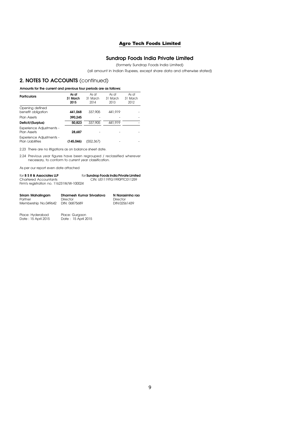# **Sundrop Foods India Private Limited**

(formerly Sundrop Foods India Limited)

(all amount in Indian Rupees, except share data and otherwise stated)

# **2. NOTES TO ACCOUNTS** (continued)

### **Amounts for the current and previous four periods are as follows:**

| <b>Particulars</b>                                         | As at<br>31 March<br>2015 | As at<br>31 March<br>2014 | As at<br>31 March<br>2013 | As at<br>31 March<br>2012 |
|------------------------------------------------------------|---------------------------|---------------------------|---------------------------|---------------------------|
| Opening defined<br>benefit obligation                      | 441.068                   | 337,905                   | 441,919                   |                           |
| <b>Plan Assets</b>                                         | 390.245                   |                           |                           |                           |
| Deficit/(Surplus)                                          | 50.823                    | 337,905                   | 441.919                   |                           |
| <b>Experience Adjustments -</b><br><b>Plan Assets</b>      | 28.687                    |                           |                           |                           |
| <b>Experience Adjustments -</b><br><b>Plan Liabilities</b> | (145.046)                 | (552.367)                 |                           |                           |

2.23 There are no litigations as on balance sheet date.

2.24 Previous year figures have been regrouped / reclassified wherever necessary, to conform to current year classification.

As per our report even date attached

| for <b>B S R &amp; Associates LLP</b>    | for Sundrop Foods India Private Limited |
|------------------------------------------|-----------------------------------------|
| <b>Chartered Accountants</b>             | CIN: U01119TG1990PTC011259              |
| Firm's registration no. 116231W/W-100024 |                                         |

| Sriram Mahalingam    | Dharmesh Kumar Srivastava | N Narasimha rao |
|----------------------|---------------------------|-----------------|
| Partner              | <b>Director</b>           | <b>Director</b> |
| Membership No.049642 | DIN: 06875689             | DIN:02561439    |

Place: Hyderabad<br>Date : 15 April 2015

Place: Gurgaon<br>Date : 15 April 2015